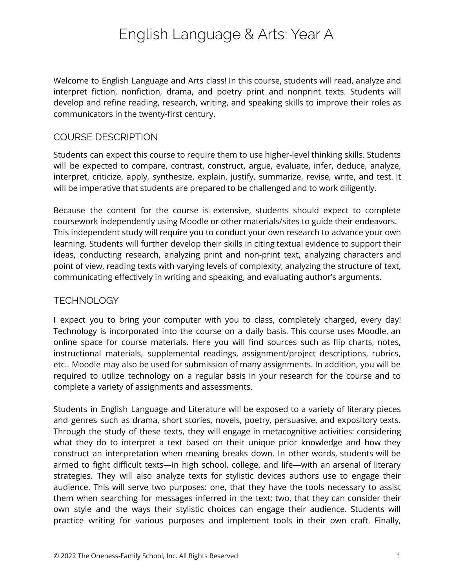# English Language & Arts: Year A

Welcome to English Language and Arts class! In this course, students will read, analyze and interpret fiction, nonfiction, drama, and poetry print and nonprint texts. Students will develop and refine reading, research, writing, and speaking skills to improve their roles as communicators in the twenty-first century.

#### COURSE DESCRIPTION

Students can expect this course to require them to use higher-level thinking skills. Students will be expected to compare, contrast, construct, argue, evaluate, infer, deduce, analyze, interpret, criticize, apply, synthesize, explain, justify, summarize, revise, write, and test. It will be imperative that students are prepared to be challenged and to work diligently.

Because the content for the course is extensive, students should expect to complete coursework independently using Moodle or other materials/sites to guide their endeavors. This independent study will require you to conduct your own research to advance your own learning. Students will further develop their skills in citing textual evidence to support their ideas, conducting research, analyzing print and non-print text, analyzing characters and point of view, reading texts with varying levels of complexity, analyzing the structure of text, communicating effectively in writing and speaking, and evaluating author's arguments.

### **TECHNOLOGY**

I expect you to bring your computer with you to class, completely charged, every day! Technology is incorporated into the course on a daily basis. This course uses Moodle, an online space for course materials. Here you will find sources such as flip charts, notes, instructional materials, supplemental readings, assignment/project descriptions, rubrics, etc.. Moodle may also be used for submission of many assignments. In addition, you will be required to utilize technology on a regular basis in your research for the course and to complete a variety of assignments and assessments.

Students in English Language and Literature will be exposed to a variety of literary pieces and genres such as drama, short stories, novels, poetry, persuasive, and expository texts. Through the study of these texts, they will engage in metacognitive activities: considering what they do to interpret a text based on their unique prior knowledge and how they construct an interpretation when meaning breaks down. In other words, students will be armed to fight difficult texts—in high school, college, and life—with an arsenal of literary strategies. They will also analyze texts for stylistic devices authors use to engage their audience. This will serve two purposes: one, that they have the tools necessary to assist them when searching for messages inferred in the text; two, that they can consider their own style and the ways their stylistic choices can engage their audience. Students will practice writing for various purposes and implement tools in their own craft. Finally,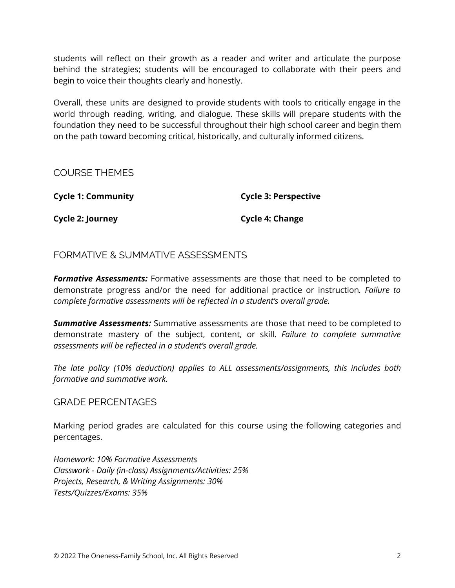students will reflect on their growth as a reader and writer and articulate the purpose behind the strategies; students will be encouraged to collaborate with their peers and begin to voice their thoughts clearly and honestly.

Overall, these units are designed to provide students with tools to critically engage in the world through reading, writing, and dialogue. These skills will prepare students with the foundation they need to be successful throughout their high school career and begin them on the path toward becoming critical, historically, and culturally informed citizens.

COURSE THEMES

**Cycle 1: Community**

**Cycle 3: Perspective**

**Cycle 2: Journey**

**Cycle 4: Change**

# FORMATIVE & SUMMATIVE ASSESSMENTS

*Formative Assessments:* Formative assessments are those that need to be completed to demonstrate progress and/or the need for additional practice or instruction*. Failure to complete formative assessments will be reflected in a student's overall grade.*

*Summative Assessments:* Summative assessments are those that need to be completed to demonstrate mastery of the subject, content, or skill. *Failure to complete summative assessments will be reflected in a student's overall grade.*

*The late policy (10% deduction) applies to ALL assessments/assignments, this includes both formative and summative work.*

### GRADE PERCENTAGES

Marking period grades are calculated for this course using the following categories and percentages.

*Homework: 10% Formative Assessments Classwork - Daily (in-class) Assignments/Activities: 25% Projects, Research, & Writing Assignments: 30% Tests/Quizzes/Exams: 35%*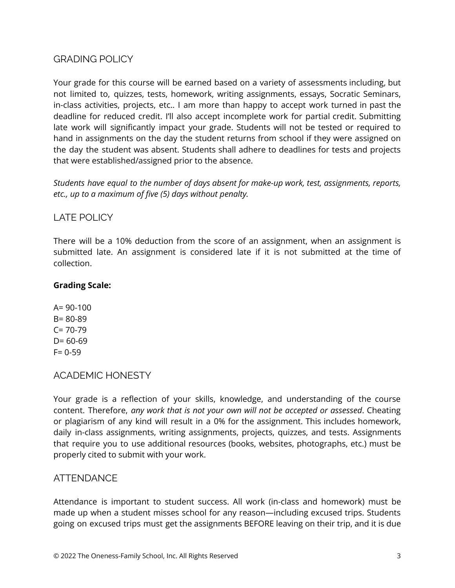# GRADING POLICY

Your grade for this course will be earned based on a variety of assessments including, but not limited to, quizzes, tests, homework, writing assignments, essays, Socratic Seminars, in-class activities, projects, etc.. I am more than happy to accept work turned in past the deadline for reduced credit. I'll also accept incomplete work for partial credit. Submitting late work will significantly impact your grade. Students will not be tested or required to hand in assignments on the day the student returns from school if they were assigned on the day the student was absent. Students shall adhere to deadlines for tests and projects that were established/assigned prior to the absence.

*Students have equal to the number of days absent for make-up work, test, assignments, reports, etc., up to a maximum of five (5) days without penalty.*

# LATE POLICY

There will be a 10% deduction from the score of an assignment, when an assignment is submitted late. An assignment is considered late if it is not submitted at the time of collection.

#### **Grading Scale:**

 $A = 90-100$ B= 80-89  $C = 70-79$  $D = 60-69$ F= 0-59

ACADEMIC HONESTY

Your grade is a reflection of your skills, knowledge, and understanding of the course content. Therefore, *any work that is not your own will not be accepted or assessed*. Cheating or plagiarism of any kind will result in a 0% for the assignment. This includes homework, daily in-class assignments, writing assignments, projects, quizzes, and tests. Assignments that require you to use additional resources (books, websites, photographs, etc.) must be properly cited to submit with your work.

### **ATTENDANCE**

Attendance is important to student success. All work (in-class and homework) must be made up when a student misses school for any reason—including excused trips. Students going on excused trips must get the assignments BEFORE leaving on their trip, and it is due